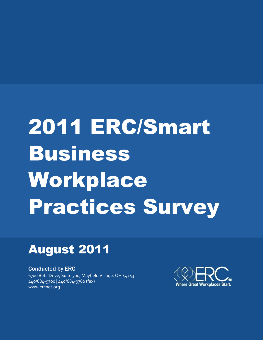# 2011 ERC/Smart Business Workplace Practices Survey

## August 2011

Conducted by ERC 6700 Beta Drive, Suite 300, Mayfield Village, OH 44143 440/684-9700 | 440/684-9760 (fax) www.ercnet.org

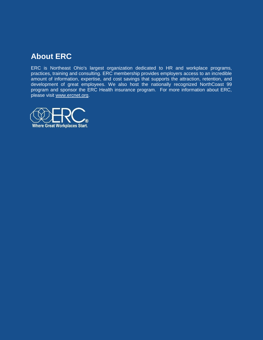## **About ERC**

ERC is Northeast Ohio's largest organization dedicated to HR and workplace programs, practices, training and consulting. ERC membership provides employers access to an incredible amount of information, expertise, and cost savings that supports the attraction, retention, and development of great employees. We also host the nationally recognized NorthCoast 99 program and sponsor the ERC Health insurance program. For more information about ERC, please visit [www.ercnet.org.](http://www.ercnet.org/)

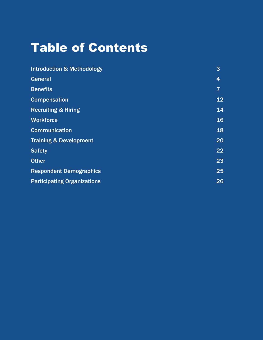## Table of Contents

| <b>Introduction &amp; Methodology</b> | 3              |
|---------------------------------------|----------------|
| General                               | 4              |
| <b>Benefits</b>                       | $\overline{7}$ |
| <b>Compensation</b>                   | 12             |
| <b>Recruiting &amp; Hiring</b>        | 14             |
| <b>Workforce</b>                      | 16             |
| <b>Communication</b>                  | 18             |
| <b>Training &amp; Development</b>     | 20             |
| <b>Safety</b>                         | 22             |
| <b>Other</b>                          | 23             |
| <b>Respondent Demographics</b>        | 25             |
| <b>Participating Organizations</b>    | 26             |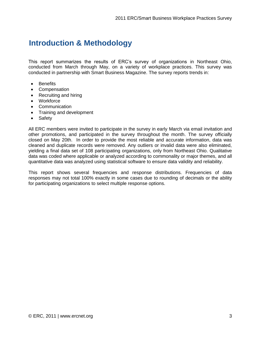## **Introduction & Methodology**

This report summarizes the results of ERC's survey of organizations in Northeast Ohio, conducted from March through May, on a variety of workplace practices. This survey was conducted in partnership with Smart Business Magazine. The survey reports trends in:

- Benefits
- Compensation
- Recruiting and hiring
- Workforce
- Communication
- Training and development
- Safety

All ERC members were invited to participate in the survey in early March via email invitation and other promotions, and participated in the survey throughout the month. The survey officially closed on May 20th. In order to provide the most reliable and accurate information, data was cleaned and duplicate records were removed. Any outliers or invalid data were also eliminated, yielding a final data set of 108 participating organizations, only from Northeast Ohio. Qualitative data was coded where applicable or analyzed according to commonality or major themes, and all quantitative data was analyzed using statistical software to ensure data validity and reliability.

This report shows several frequencies and response distributions. Frequencies of data responses may not total 100% exactly in some cases due to rounding of decimals or the ability for participating organizations to select multiple response options.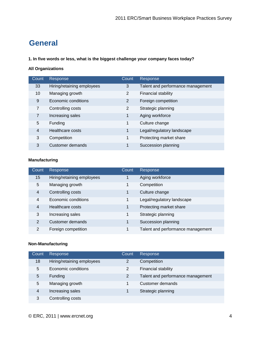## **General**

**1. In five words or less, what is the biggest challenge your company faces today?**

#### **All Organizations**

| Count          | Response                   | Count | Response                          |
|----------------|----------------------------|-------|-----------------------------------|
| 33             | Hiring/retaining employees | 3     | Talent and performance management |
| 10             | Managing growth            | 2     | Financial stability               |
| 9              | Economic conditions        | 2     | Foreign competition               |
| 7              | Controlling costs          | 2     | Strategic planning                |
| 7              | Increasing sales           | 1     | Aging workforce                   |
| 5              | Funding                    | 1     | Culture change                    |
| $\overline{4}$ | Healthcare costs           | 1     | Legal/regulatory landscape        |
| 3              | Competition                | 1     | Protecting market share           |
| 3              | Customer demands           | 1     | Succession planning               |

#### **Manufacturing**

| Count          | Response                   | Count | Response                          |
|----------------|----------------------------|-------|-----------------------------------|
| 15             | Hiring/retaining employees |       | Aging workforce                   |
| 5              | Managing growth            | 1     | Competition                       |
| 4              | Controlling costs          | 1     | Culture change                    |
| $\overline{4}$ | Economic conditions        | 1     | Legal/regulatory landscape        |
| $\overline{4}$ | Healthcare costs           | 1     | Protecting market share           |
| 3              | Increasing sales           | 1     | Strategic planning                |
| $\overline{2}$ | Customer demands           | 1     | Succession planning               |
| $\mathcal{P}$  | Foreign competition        | 1     | Talent and performance management |

#### **Non-Manufacturing**

| Count | Response                   | Count         | Response                          |
|-------|----------------------------|---------------|-----------------------------------|
| 18    | Hiring/retaining employees | $\mathcal{P}$ | Competition                       |
| 5     | Economic conditions        | 2             | <b>Financial stability</b>        |
| 5     | Funding                    | 2             | Talent and performance management |
| 5     | Managing growth            | 1             | Customer demands                  |
| 4     | Increasing sales           | 1             | Strategic planning                |
| 3     | Controlling costs          |               |                                   |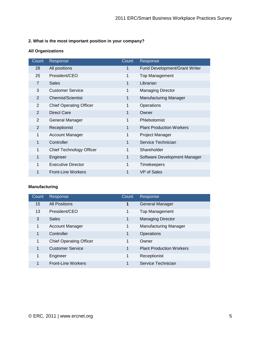#### **2. What is the most important position in your company?**

#### **All Organizations**

| Count          | Response                       | Count | Response                             |
|----------------|--------------------------------|-------|--------------------------------------|
| 28             | All positions                  | 1     | <b>Fund Development/Grant Writer</b> |
| 25             | President/CEO                  | 1     | Top Management                       |
| 7              | <b>Sales</b>                   | 1     | Librarian                            |
| 3              | <b>Customer Service</b>        | 1     | <b>Managing Director</b>             |
| $\overline{2}$ | <b>Chemist/Scientist</b>       | 1     | <b>Manufacturing Manager</b>         |
| 2              | <b>Chief Operating Officer</b> | 1     | Operations                           |
| $\overline{2}$ | <b>Direct Care</b>             | 1     | Owner                                |
| $\overline{2}$ | General Manager                | 1     | Phlebotomist                         |
| $\overline{2}$ | Receptionist                   | 1     | <b>Plant Production Workers</b>      |
| 1              | <b>Account Manager</b>         | 1     | Project Manager                      |
| 1              | Controller                     | 1     | Service Technician                   |
| 1              | Chief Technology Officer       | 1     | Shareholder                          |
| 1              | Engineer                       | 1     | Software Development Manager         |
| 1              | <b>Executive Director</b>      | 1     | <b>Timekeepers</b>                   |
| 1              | <b>Front-Line Workers</b>      | 1     | VP of Sales                          |

#### **Manufacturing**

| Count | Response                       | Count | Response                        |
|-------|--------------------------------|-------|---------------------------------|
| 15    | <b>All Positions</b>           | 1     | General Manager                 |
| 13    | President/CEO                  | 1     | <b>Top Management</b>           |
| 3     | <b>Sales</b>                   | 1     | <b>Managing Director</b>        |
| 1     | <b>Account Manager</b>         | 1     | <b>Manufacturing Manager</b>    |
| 1     | Controller                     | 1     | Operations                      |
| 1     | <b>Chief Operating Officer</b> | 1     | Owner                           |
| 1     | <b>Customer Service</b>        | 1     | <b>Plant Production Workers</b> |
| 1     | Engineer                       | 1     | Receptionist                    |
|       | <b>Front-Line Workers</b>      | 1     | Service Technician              |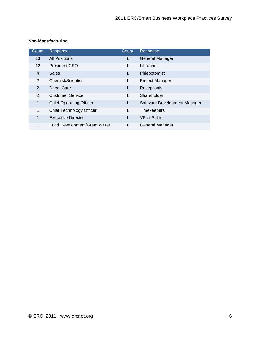#### **Non-Manufacturing**

| Count          | Response                             | Count        | Response                     |
|----------------|--------------------------------------|--------------|------------------------------|
| 13             | <b>All Positions</b>                 | 1            | <b>General Manager</b>       |
| $12 \,$        | President/CEO                        | 1            | Librarian                    |
| $\overline{4}$ | <b>Sales</b>                         | 1            | Phlebotomist                 |
| 2              | Chemist/Scientist                    | $\mathbf{1}$ | <b>Project Manager</b>       |
| 2              | Direct Care                          | $\mathbf 1$  | Receptionist                 |
| 2              | Customer Service                     | 1            | Shareholder                  |
| 1              | <b>Chief Operating Officer</b>       | 1            | Software Development Manager |
| 1              | <b>Chief Technology Officer</b>      | 1            | <b>Timekeepers</b>           |
| $\mathbf{1}$   | <b>Executive Director</b>            | $\mathbf 1$  | VP of Sales                  |
| 1              | <b>Fund Development/Grant Writer</b> | 1            | General Manager              |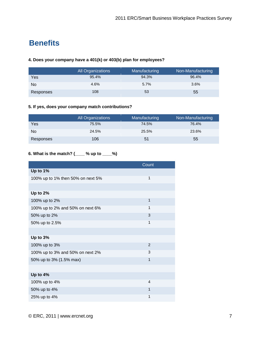## **Benefits**

#### **4. Does your company have a 401(k) or 403(b) plan for employees?**

|           | All Organizations | Manufacturing | Non-Manufacturing |
|-----------|-------------------|---------------|-------------------|
| Yes       | 95.4%             | 94.3%         | 96.4%             |
| No        | 4.6%              | 5.7%          | $3.6\%$           |
| Responses | 108               | 53            | 55                |

#### **5. If yes, does your company match contributions?**

|                | All Organizations | Manufacturing | Non-Manufacturing |
|----------------|-------------------|---------------|-------------------|
| Yes            | 75.5%             | 74.5%         | 76.4%             |
| N <sub>o</sub> | 24.5%             | 25.5%         | 23.6%             |
| Responses      | 106               | 51            | 55                |

#### **6. What is the match? (\_\_\_\_ % up to \_\_\_\_%)**

|                                   | Count          |
|-----------------------------------|----------------|
| Up to 1%                          |                |
| 100% up to 1% then 50% on next 5% | 1              |
|                                   |                |
| Up to 2%                          |                |
| 100% up to 2%                     | 1              |
| 100% up to 2% and 50% on next 6%  | 1              |
| 50% up to 2%                      | 3              |
| 50% up to 2.5%                    | 1              |
|                                   |                |
| Up to 3%                          |                |
| 100% up to 3%                     | 2              |
| 100% up to 3% and 50% on next 2%  | 3              |
| 50% up to 3% (1.5% max)           | 1              |
|                                   |                |
| Up to 4%                          |                |
| 100% up to 4%                     | $\overline{4}$ |
| 50% up to 4%                      | 1              |
| 25% up to 4%                      | 1              |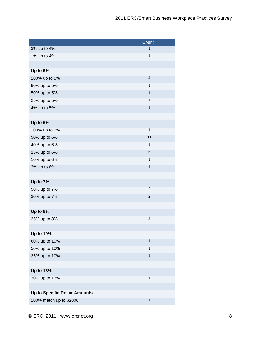|                                      | Count            |
|--------------------------------------|------------------|
| 3% up to 4%                          | $\mathbf{1}$     |
| 1% up to 4%                          | $\mathbf{1}$     |
|                                      |                  |
| Up to 5%                             |                  |
| 100% up to 5%                        | $\overline{4}$   |
| 80% up to 5%                         | $\mathbf{1}$     |
| 50% up to 5%                         | $\mathbf{1}$     |
| 25% up to 5%                         | $\mathbf{1}$     |
| 4% up to 5%                          | $\mathbf{1}$     |
|                                      |                  |
| Up to 6%                             |                  |
| 100% up to 6%                        | $\mathbf{1}$     |
| 50% up to 6%                         | 11               |
| 40% up to 6%                         | 1                |
| 25% up to 6%                         | $\,$ 6           |
| 10% up to 6%                         | $\mathbf{1}$     |
| 2% up to 6%                          | $\mathbf{1}$     |
|                                      |                  |
| Up to 7%                             |                  |
| 50% up to 7%                         | $\overline{c}$   |
| 30% up to 7%                         | $\boldsymbol{2}$ |
|                                      |                  |
| Up to 8%                             |                  |
| 25% up to 8%                         | $\overline{c}$   |
|                                      |                  |
| Up to 10%                            |                  |
| 60% up to 10%                        | $\mathbf{1}$     |
| 50% up to 10%                        | $\mathbf{1}$     |
| 25% up to 10%                        | 1                |
|                                      |                  |
| Up to 13%                            |                  |
| 30% up to 13%                        | 1                |
|                                      |                  |
| <b>Up to Specific Dollar Amounts</b> |                  |
| 100% match up to \$2000              | $\mathbf{1}$     |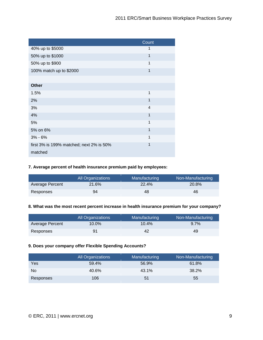|                                          | Count        |
|------------------------------------------|--------------|
| 40% up to \$5000                         | 1            |
| 50% up to \$1000                         | $\mathbf{1}$ |
| 50% up to \$900                          | 1            |
| 100% match up to \$2000                  | 1            |
|                                          |              |
| <b>Other</b>                             |              |
| 1.5%                                     | 1            |
| 2%                                       | 1            |
| 3%                                       | 4            |
| 4%                                       | 1            |
| 5%                                       | 1            |
| 5% on 6%                                 | 1            |
| $3% - 6%$                                | 1            |
| first 3% is 199% matched; next 2% is 50% | 1            |
| matched                                  |              |

#### **7. Average percent of health insurance premium paid by employees:**

|                 | <b>All Organizations</b> | Manufacturing | Non-Manufacturing |
|-----------------|--------------------------|---------------|-------------------|
| Average Percent | 21.6%                    | 22.4%         | 20.8%             |
| Responses       | 94                       | 48            | 46                |

#### **8. What was the most recent percent increase in health insurance premium for your company?**

|                 | <b>All Organizations</b> | Manufacturing | Non-Manufacturing |
|-----------------|--------------------------|---------------|-------------------|
| Average Percent | $10.0\%$                 | 10.4%         | 9.7%              |
| Responses       | 91                       | 42            | 49                |

#### **9. Does your company offer Flexible Spending Accounts?**

|           | <b>All Organizations</b> | Manufacturing | Non-Manufacturing |
|-----------|--------------------------|---------------|-------------------|
| Yes       | 59.4%                    | 56.9%         | 61.8%             |
| No        | 40.6%                    | 43.1%         | 38.2%             |
| Responses | 106                      | 51            | 55                |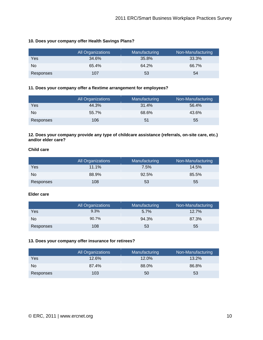#### **10. Does your company offer Health Savings Plans?**

|           | All Organizations | Manufacturing | Non-Manufacturing |
|-----------|-------------------|---------------|-------------------|
| Yes       | 34.6%             | 35.8%         | 33.3%             |
| No        | 65.4%             | 64.2%         | 66.7%             |
| Responses | 107               | 53            | 54                |

#### **11. Does your company offer a flextime arrangement for employees?**

|           | <b>All Organizations</b> | Manufacturing | Non-Manufacturing |
|-----------|--------------------------|---------------|-------------------|
| Yes       | 44.3%                    | 31.4%         | 56.4%             |
| No.       | 55.7%                    | 68.6%         | 43.6%             |
| Responses | 106                      | 51            | 55                |

**12. Does your company provide any type of childcare assistance (referrals, on-site care, etc.) and/or elder care?**

#### **Child care**

|           | All Organizations | Manufacturing | Non-Manufacturing |
|-----------|-------------------|---------------|-------------------|
| Yes       | 11.1%             | 7.5%          | 14.5%             |
| No        | 88.9%             | 92.5%         | 85.5%             |
| Responses | 108               | 53            | 55                |

#### **Elder care**

|           | All Organizations | Manufacturing | Non-Manufacturing |
|-----------|-------------------|---------------|-------------------|
| Yes       | 9.3%              | $5.7\%$       | $12.7\%$          |
| No        | 90.7%             | 94.3%         | 87.3%             |
| Responses | 108               | 53            | 55                |

#### **13. Does your company offer insurance for retirees?**

|                | All Organizations | Manufacturing | Non-Manufacturing |
|----------------|-------------------|---------------|-------------------|
| Yes            | 12.6%             | 12.0%         | 13.2%             |
| N <sub>o</sub> | 87.4%             | 88.0%         | 86.8%             |
| Responses      | 103               | 50            | 53                |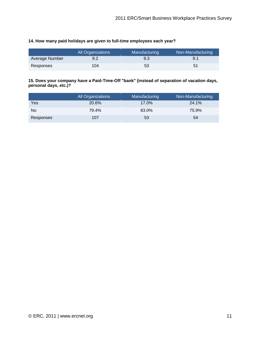#### **14. How many paid holidays are given to full-time employees each year?**

|                | All Organizations | Manufacturing | Non-Manufacturing |
|----------------|-------------------|---------------|-------------------|
| Average Number | 9.2               | 9.3           | 9.1               |
| Responses      | 104               | 53            | 51                |

#### **15. Does your company have a Paid-Time-Off "bank" (instead of separation of vacation days, personal days, etc.)?**

|           | <b>All Organizations</b> | Manufacturing | Non-Manufacturing |
|-----------|--------------------------|---------------|-------------------|
| Yes       | 20.6%                    | 17.0%         | 24.1%             |
| No        | 79.4%                    | 83.0%         | 75.9%             |
| Responses | 107                      | 53            | 54                |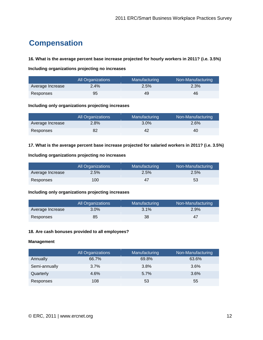## **Compensation**

#### **16. What is the average percent base increase projected for hourly workers in 2011? (i.e. 3.5%)**

**Including organizations projecting no increases**

|                  | All Organizations | Manufacturing | Non-Manufacturing |
|------------------|-------------------|---------------|-------------------|
| Average Increase | 2.4%              | 2.5%          | 2.3%              |
| Responses        | 95                | 49            | 46                |

#### **Including only organizations projecting increases**

|                  | <b>All Organizations</b> | Manufacturing | Non-Manufacturing |
|------------------|--------------------------|---------------|-------------------|
| Average Increase | 2.8%                     | 3.0%          | 2.6%              |
| Responses        | 82                       | 42            | 40                |

#### **17. What is the average percent base increase projected for salaried workers in 2011? (i.e. 3.5%)**

#### **Including organizations projecting no increases**

|                  | <b>All Organizations</b> | Manufacturing | Non-Manufacturing |
|------------------|--------------------------|---------------|-------------------|
| Average Increase | $2.5\%$                  | 2.5%          | 2.5%              |
| Responses        | 100                      | 47            | 53                |

#### **Including only organizations projecting increases**

|                  | All Organizations | <b>Manufacturing</b> | Non-Manufacturing |
|------------------|-------------------|----------------------|-------------------|
| Average Increase | $3.0\%$           | 3.1%                 | 2.9%              |
| Responses        | 85                | 38                   | 47                |

#### **18. Are cash bonuses provided to all employees?**

#### **Management**

|               | <b>All Organizations</b> | Manufacturing | Non-Manufacturing |
|---------------|--------------------------|---------------|-------------------|
| Annually      | 66.7%                    | 69.8%         | 63.6%             |
| Semi-annually | 3.7%                     | 3.8%          | $3.6\%$           |
| Quarterly     | 4.6%                     | 5.7%          | 3.6%              |
| Responses     | 108                      | 53            | 55                |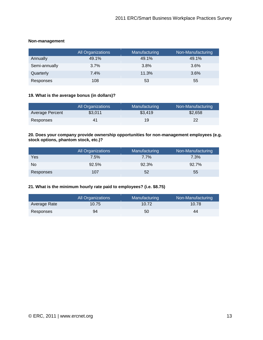| Non-management |  |
|----------------|--|
|                |  |

|               | <b>All Organizations</b> | Manufacturing | Non-Manufacturing |
|---------------|--------------------------|---------------|-------------------|
| Annually      | 49.1%                    | 49.1%         | 49.1%             |
| Semi-annually | 3.7%                     | 3.8%          | $3.6\%$           |
| Quarterly     | 7.4%                     | 11.3%         | 3.6%              |
| Responses     | 108                      | 53            | 55                |

#### **19. What is the average bonus (in dollars)?**

|                 | <b>All Organizations</b> | Manufacturing | Non-Manufacturing |
|-----------------|--------------------------|---------------|-------------------|
| Average Percent | \$3,011                  | \$3,419       | \$2,658           |
| Responses       | 41                       | 19            | 22                |

#### **20. Does your company provide ownership opportunities for non-management employees (e.g. stock options, phantom stock, etc.)?**

|                | All Organizations | Manufacturing | Non-Manufacturing |
|----------------|-------------------|---------------|-------------------|
| Yes            | 7.5%              | $7.7\%$       | 7.3%              |
| N <sub>o</sub> | 92.5%             | 92.3%         | 92.7%             |
| Responses      | 107               | 52            | 55                |

#### **21. What is the minimum hourly rate paid to employees? (i.e. \$8.75)**

|              | <b>All Organizations</b> | Manufacturing | Non-Manufacturing |
|--------------|--------------------------|---------------|-------------------|
| Average Rate | 10.75                    | 10.72         | 10.78             |
| Responses    | 94                       | 50            | 44                |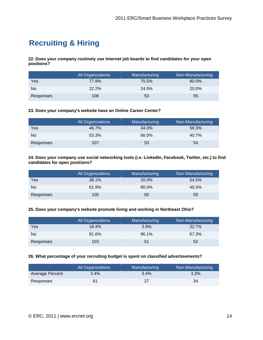## **Recruiting & Hiring**

**22. Does your company routinely use Internet job boards to find candidates for your open positions?**

|           | All Organizations | Manufacturing | Non-Manufacturing |
|-----------|-------------------|---------------|-------------------|
| Yes       | 77.8%             | 75.5%         | 80.0%             |
| No        | 22.2%             | 24.5%         | 20.0%             |
| Responses | 108               | 53            | 55                |

#### **23. Does your company's website have an Online Career Center?**

|           | All Organizations | Manufacturing | Non-Manufacturing |
|-----------|-------------------|---------------|-------------------|
| Yes       | 46.7%             | 34.0%         | 59.3%             |
| No        | 53.3%             | 66.0%         | 40.7%             |
| Responses | 107               | 53            | 54                |

**24. Does your company use social networking tools (i.e. LinkedIn, Facebook, Twitter, etc.) to find candidates for open positions?**

|                | All Organizations | Manufacturing | Non-Manufacturing |
|----------------|-------------------|---------------|-------------------|
| Yes            | 38.1%             | 20.0%         | 54.5%             |
| N <sub>o</sub> | 61.9%             | 80.0%         | 45.5%             |
| Responses      | 105               | 50            | 55                |

#### **25. Does your company's website promote living and working in Northeast Ohio?**

|           | All Organizations | Manufacturing | Non-Manufacturing |
|-----------|-------------------|---------------|-------------------|
| Yes       | 18.4%             | 3.9%          | 32.7%             |
| No.       | 81.6%             | 96.1%         | 67.3%             |
| Responses | 103               | 51            | 52                |

#### **26. What percentage of your recruiting budget is spent on classified advertisements?**

|                 | <b>All Organizations</b> | Manufacturing | Non-Manufacturing |
|-----------------|--------------------------|---------------|-------------------|
| Average Percent | 3.4%                     | 3.4%          | 3.3%              |
| Responses       | 61                       | 27            | 34                |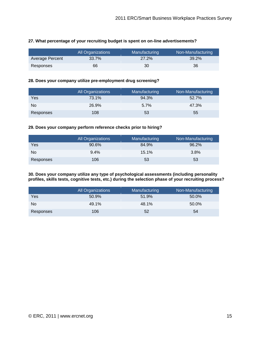|                 | <b>All Organizations</b> | Manufacturing | Non-Manufacturing |
|-----------------|--------------------------|---------------|-------------------|
| Average Percent | 33.7%                    | 27.2%         | 39.2%             |
| Responses       | 66                       | 30            | 36                |

#### **27. What percentage of your recruiting budget is spent on on-line advertisements?**

#### **28. Does your company utilize pre-employment drug screening?**

|           | All Organizations | Manufacturing | Non-Manufacturing |
|-----------|-------------------|---------------|-------------------|
| Yes       | 73.1%             | 94.3%         | 52.7%             |
| No.       | 26.9%             | 5.7%          | 47.3%             |
| Responses | 108               | 53            | 55                |

#### **29. Does your company perform reference checks prior to hiring?**

|           | <b>All Organizations</b> | Manufacturing | Non-Manufacturing |
|-----------|--------------------------|---------------|-------------------|
| Yes       | 90.6%                    | 84.9%         | 96.2%             |
| No        | 9.4%                     | 15.1%         | 3.8%              |
| Responses | 106                      | 53            | 53                |

**30. Does your company utilize any type of psychological assessments (including personality profiles, skills tests, cognitive tests, etc.) during the selection phase of your recruiting process?**

|                | All Organizations | Manufacturing | Non-Manufacturing |
|----------------|-------------------|---------------|-------------------|
| Yes            | 50.9%             | 51.9%         | 50.0%             |
| N <sub>o</sub> | 49.1%             | 48.1%         | 50.0%             |
| Responses      | 106               | 52            | 54                |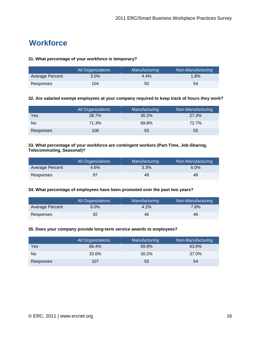## **Workforce**

#### **31. What percentage of your workforce is temporary?**

|                 | <b>All Organizations</b> | Manufacturing | Non-Manufacturing |
|-----------------|--------------------------|---------------|-------------------|
| Average Percent | $3.0\%$                  | 4.4%          | 1.8%              |
| Responses       | 104                      | 50            | 54                |

#### **32. Are salaried exempt employees at your company required to keep track of hours they work?**

|           | All Organizations | Manufacturing | Non-Manufacturing |
|-----------|-------------------|---------------|-------------------|
| Yes       | 28.7%             | 30.2%         | 27.3%             |
| No        | 71.3%             | 69.8%         | 72.7%             |
| Responses | 108               | 53            | 55                |

#### **33. What percentage of your workforce are contingent workers (Part-Time, Job-Sharing, Telecommuting, Seasonal)?**

|                 | <b>All Organizations</b> | <b>Manufacturing</b> | Non-Manufacturing |
|-----------------|--------------------------|----------------------|-------------------|
| Average Percent | 4.6%                     | 3.3%                 | $6.0\%$           |
| Responses       | 97                       | 49                   | 48                |

#### **34. What percentage of employees have been promoted over the past two years?**

|                 | All Organizations | <b>Manufacturing</b> | Non-Manufacturing |
|-----------------|-------------------|----------------------|-------------------|
| Average Percent | $6.0\%$           | 4.2%                 | 7.8%              |
| Responses       | 92                | 46                   | 46                |

#### **35. Does your company provide long-term service awards to employees?**

|           | All Organizations | Manufacturing | Non-Manufacturing |
|-----------|-------------------|---------------|-------------------|
| Yes       | 66.4%             | 69.8%         | 63.0%             |
| No        | 33.6%             | 30.2%         | 37.0%             |
| Responses | 107               | 53            | 54                |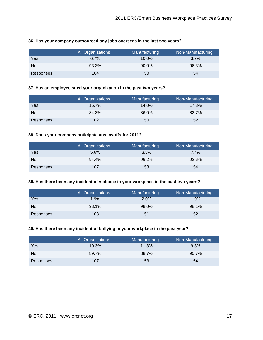|           | <b>All Organizations</b> | Manufacturing | Non-Manufacturing |
|-----------|--------------------------|---------------|-------------------|
| Yes       | 6.7%                     | $10.0\%$      | 3.7%              |
| No.       | 93.3%                    | 90.0%         | 96.3%             |
| Responses | 104                      | 50            | 54                |

#### **36. Has your company outsourced any jobs overseas in the last two years?**

#### **37. Has an employee sued your organization in the past two years?**

|           | <b>All Organizations</b> | Manufacturing | Non-Manufacturing |
|-----------|--------------------------|---------------|-------------------|
| Yes       | 15.7%                    | 14.0%         | 17.3%             |
| No        | 84.3%                    | 86.0%         | 82.7%             |
| Responses | 102                      | 50            | 52                |

#### **38. Does your company anticipate any layoffs for 2011?**

|           | <b>All Organizations</b> | Manufacturing | Non-Manufacturing |
|-----------|--------------------------|---------------|-------------------|
| Yes       | 5.6%                     | 3.8%          | 7.4%              |
| No        | 94.4%                    | 96.2%         | 92.6%             |
| Responses | 107                      | 53            | 54                |

#### **39. Has there been any incident of violence in your workplace in the past two years?**

|           | <b>All Organizations</b> | Manufacturing | Non-Manufacturing |
|-----------|--------------------------|---------------|-------------------|
| Yes       | 1.9%                     | $2.0\%$       | 1.9%              |
| No        | 98.1%                    | 98.0%         | 98.1%             |
| Responses | 103                      | 51            | 52                |

#### **40. Has there been any incident of bullying in your workplace in the past year?**

|           | All Organizations | Manufacturing | Non-Manufacturing |
|-----------|-------------------|---------------|-------------------|
| Yes       | 10.3%             | 11.3%         | 9.3%              |
| No        | 89.7%             | 88.7%         | 90.7%             |
| Responses | 107               | 53            | 54                |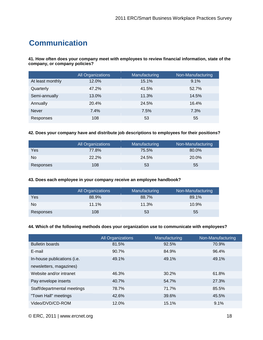## **Communication**

**41. How often does your company meet with employees to review financial information, state of the company, or company policies?**

|                  | All Organizations | Manufacturing | Non-Manufacturing |
|------------------|-------------------|---------------|-------------------|
| At least monthly | 12.0%             | 15.1%         | 9.1%              |
| Quarterly        | 47.2%             | 41.5%         | 52.7%             |
| Semi-annually    | 13.0%             | 11.3%         | 14.5%             |
| Annually         | 20.4%             | 24.5%         | 16.4%             |
| <b>Never</b>     | 7.4%              | 7.5%          | 7.3%              |
| Responses        | 108               | 53            | 55                |

#### **42. Does your company have and distribute job descriptions to employees for their positions?**

|           | <b>All Organizations</b> | Manufacturing | Non-Manufacturing |
|-----------|--------------------------|---------------|-------------------|
| Yes       | 77.8%                    | 75.5%         | 80.0%             |
| No        | 22.2%                    | 24.5%         | 20.0%             |
| Responses | 108                      | 53            | 55                |

#### **43. Does each employee in your company receive an employee handbook?**

|           | <b>All Organizations</b> | Manufacturing | Non-Manufacturing |
|-----------|--------------------------|---------------|-------------------|
| Yes       | 88.9%                    | 88.7%         | 89.1%             |
| No.       | 11.1%                    | 11.3%         | 10.9%             |
| Responses | 108                      | 53            | 55                |

#### **44. Which of the following methods does your organization use to communicate with employees?**

|                             | <b>All Organizations</b> | Manufacturing | Non-Manufacturing |
|-----------------------------|--------------------------|---------------|-------------------|
| <b>Bulletin boards</b>      | 81.5%                    | 92.5%         | 70.9%             |
| E-mail                      | 90.7%                    | 84.9%         | 96.4%             |
| In-house publications (i.e. | 49.1%                    | 49.1%         | 49.1%             |
| newsletters, magazines)     |                          |               |                   |
| Website and/or intranet     | 46.3%                    | 30.2%         | 61.8%             |
| Pay envelope inserts        | 40.7%                    | 54.7%         | 27.3%             |
| Staff/departmental meetings | 78.7%                    | 71.7%         | 85.5%             |
| "Town Hall" meetings        | 42.6%                    | 39.6%         | 45.5%             |
| Video/DVD/CD-ROM            | 12.0%                    | 15.1%         | 9.1%              |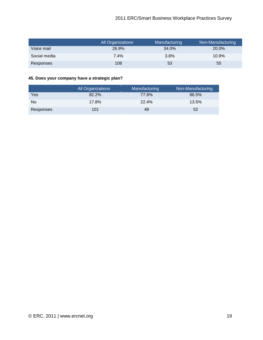|              | All Organizations | Manufacturing | Non-Manufacturing |
|--------------|-------------------|---------------|-------------------|
| Voice mail   | 26.9%             | 34.0%         | 20.0%             |
| Social media | $7.4\%$           | 3.8%          | $10.9\%$          |
| Responses    | 108               | 53            | 55                |

#### **45. Does your company have a strategic plan?**

|                | <b>All Organizations</b> | Manufacturing | Non-Manufacturing |
|----------------|--------------------------|---------------|-------------------|
| Yes            | 82.2%                    | 77.6%         | 86.5%             |
| N <sub>o</sub> | 17.8%                    | 22.4%         | 13.5%             |
| Responses      | 101                      | 49            | 52                |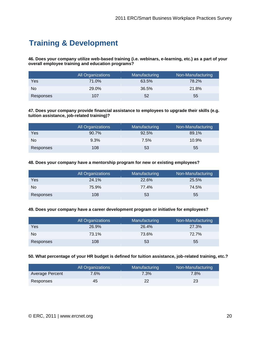## **Training & Development**

**46. Does your company utilize web-based training (i.e. webinars, e-learning, etc.) as a part of your overall employee training and education programs?**

|                | All Organizations | Manufacturing | Non-Manufacturing |
|----------------|-------------------|---------------|-------------------|
| Yes            | 71.0%             | 63.5%         | 78.2%             |
| N <sub>o</sub> | 29.0%             | 36.5%         | 21.8%             |
| Responses      | 107               | 52            | 55                |

**47. Does your company provide financial assistance to employees to upgrade their skills (e.g. tuition assistance, job-related training)?**

|                | All Organizations | Manufacturing | Non-Manufacturing |
|----------------|-------------------|---------------|-------------------|
| Yes            | 90.7%             | 92.5%         | 89.1%             |
| N <sub>o</sub> | 9.3%              | 7.5%          | 10.9%             |
| Responses      | 108               | 53            | 55                |

**48. Does your company have a mentorship program for new or existing employees?**

|                | <b>All Organizations</b> | Manufacturing | Non-Manufacturing |
|----------------|--------------------------|---------------|-------------------|
| Yes            | 24.1%                    | 22.6%         | 25.5%             |
| N <sub>o</sub> | 75.9%                    | 77.4%         | 74.5%             |
| Responses      | 108                      | 53            | 55                |

#### **49. Does your company have a career development program or initiative for employees?**

|           | All Organizations | Manufacturing | Non-Manufacturing |
|-----------|-------------------|---------------|-------------------|
| Yes       | 26.9%             | 26.4%         | 27.3%             |
| No        | 73.1%             | 73.6%         | 72.7%             |
| Responses | 108               | 53            | 55                |

#### **50. What percentage of your HR budget is defined for tuition assistance, job-related training, etc.?**

|                 | <b>All Organizations</b> | Manufacturing | Non-Manufacturing |
|-----------------|--------------------------|---------------|-------------------|
| Average Percent | 7.6%                     | 7.3%          | 7.8%              |
| Responses       | 45                       | 22            | 23                |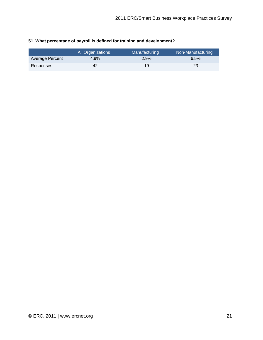|                 | All Organizations | <b>Manufacturing</b> | Non-Manufacturing |
|-----------------|-------------------|----------------------|-------------------|
| Average Percent | 4.9%              | 2.9%                 | 6.5%              |
| Responses       | 42                | 19                   | 23                |

#### **51. What percentage of payroll is defined for training and development?**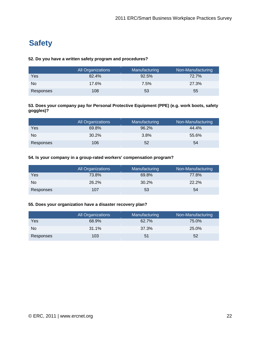## **Safety**

#### **52. Do you have a written safety program and procedures?**

|                | All Organizations | Manufacturing | Non-Manufacturing |
|----------------|-------------------|---------------|-------------------|
| Yes            | 82.4%             | 92.5%         | 72.7%             |
| N <sub>o</sub> | 17.6%             | 7.5%          | 27.3%             |
| Responses      | 108               | 53            | 55                |

#### **53. Does your company pay for Personal Protective Equipment (PPE) (e.g. work boots, safety goggles)?**

|                | <b>All Organizations</b> | Manufacturing | Non-Manufacturing |
|----------------|--------------------------|---------------|-------------------|
| Yes            | 69.8%                    | 96.2%         | 44.4%             |
| N <sub>o</sub> | 30.2%                    | 3.8%          | 55.6%             |
| Responses      | 106                      | 52            | 54                |

#### **54. Is your company in a group-rated workers' compensation program?**

|                | All Organizations | Manufacturing | Non-Manufacturing |
|----------------|-------------------|---------------|-------------------|
| Yes            | 73.8%             | 69.8%         | 77.8%             |
| N <sub>o</sub> | 26.2%             | 30.2%         | 22.2%             |
| Responses      | 107               | 53            | 54                |

#### **55. Does your organization have a disaster recovery plan?**

|           | <b>All Organizations</b> | Manufacturing | Non-Manufacturing |
|-----------|--------------------------|---------------|-------------------|
| Yes       | 68.9%                    | 62.7%         | 75.0%             |
| No.       | 31.1%                    | 37.3%         | 25.0%             |
| Responses | 103                      | 51            | 52                |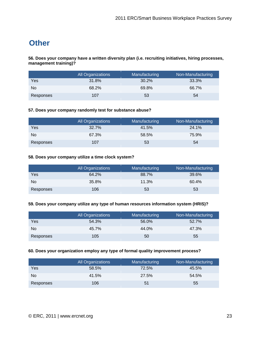## **Other**

**56. Does your company have a written diversity plan (i.e. recruiting initiatives, hiring processes, management training)?**

|                | All Organizations | Manufacturing | Non-Manufacturing |
|----------------|-------------------|---------------|-------------------|
| Yes            | 31.8%             | 30.2%         | 33.3%             |
| N <sub>o</sub> | 68.2%             | 69.8%         | 66.7%             |
| Responses      | 107               | 53            | 54                |

#### **57. Does your company randomly test for substance abuse?**

|                | <b>All Organizations</b> | Manufacturing | Non-Manufacturing |
|----------------|--------------------------|---------------|-------------------|
| Yes            | 32.7%                    | 41.5%         | 24.1%             |
| N <sub>o</sub> | 67.3%                    | 58.5%         | 75.9%             |
| Responses      | 107                      | 53            | 54                |

#### **58. Does your company utilize a time clock system?**

|           | All Organizations | Manufacturing | Non-Manufacturing |
|-----------|-------------------|---------------|-------------------|
| Yes       | 64.2%             | 88.7%         | 39.6%             |
| No        | 35.8%             | 11.3%         | 60.4%             |
| Responses | 106               | 53            | 53                |

#### **59. Does your company utilize any type of human resources information system (HRIS)?**

|           | All Organizations | Manufacturing | Non-Manufacturing |
|-----------|-------------------|---------------|-------------------|
| Yes       | 54.3%             | 56.0%         | 52.7%             |
| No.       | 45.7%             | 44.0%         | 47.3%             |
| Responses | 105               | 50            | 55                |

#### **60. Does your organization employ any type of formal quality improvement process?**

|           | All Organizations | Manufacturing | Non-Manufacturing |
|-----------|-------------------|---------------|-------------------|
| Yes       | 58.5%             | 72.5%         | 45.5%             |
| No.       | 41.5%             | 27.5%         | 54.5%             |
| Responses | 106               | 51            | 55                |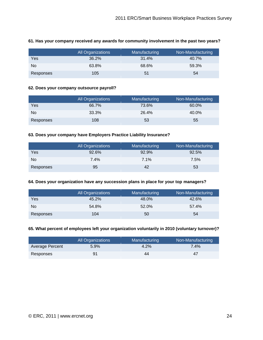|           | <b>All Organizations</b> | Manufacturing | Non-Manufacturing |
|-----------|--------------------------|---------------|-------------------|
| Yes       | 36.2%                    | 31.4%         | 40.7%             |
| No        | 63.8%                    | 68.6%         | 59.3%             |
| Responses | 105                      | 51            | 54                |

#### **61. Has your company received any awards for community involvement in the past two years?**

#### **62. Does your company outsource payroll?**

|           | All Organizations | Manufacturing | Non-Manufacturing |
|-----------|-------------------|---------------|-------------------|
| Yes       | 66.7%             | 73.6%         | 60.0%             |
| No        | 33.3%             | 26.4%         | 40.0%             |
| Responses | 108               | 53            | 55                |

#### **63. Does your company have Employers Practice Liability Insurance?**

|                | All Organizations | Manufacturing | Non-Manufacturing |
|----------------|-------------------|---------------|-------------------|
| Yes            | 92.6%             | 92.9%         | 92.5%             |
| N <sub>o</sub> | $7.4\%$           | 7.1%          | 7.5%              |
| Responses      | 95                | 42            | 53                |

#### **64. Does your organization have any succession plans in place for your top managers?**

|           | All Organizations | Manufacturing | Non-Manufacturing |
|-----------|-------------------|---------------|-------------------|
| Yes       | 45.2%             | 48.0%         | 42.6%             |
| No        | 54.8%             | 52.0%         | 57.4%             |
| Responses | 104               | 50            | 54                |

#### **65. What percent of employees left your organization voluntarily in 2010 (voluntary turnover)?**

|                 | <b>All Organizations</b> | Manufacturing | Non-Manufacturing |
|-----------------|--------------------------|---------------|-------------------|
| Average Percent | 5.9%                     | 4.2%          | 7.4%              |
| Responses       |                          | 44            | 47                |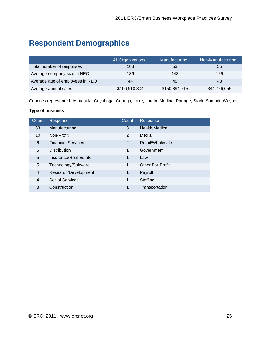## **Respondent Demographics**

|                                 | <b>All Organizations</b> | Manufacturing | Non-Manufacturing |
|---------------------------------|--------------------------|---------------|-------------------|
| Total number of responses       | 108                      | 53            | 55                |
| Average company size in NEO     | 136                      | 143           | 129               |
| Average age of employees in NEO | 44                       | 45            | 43                |
| Average annual sales            | \$106,910,804            | \$150,894,715 | \$44,726,655      |

Counties represented: Ashtabula, Cuyahoga, Geauga, Lake, Lorain, Medina, Portage, Stark, Summit, Wayne

#### **Type of business**

| Count          | Response                  | Count | Response         |
|----------------|---------------------------|-------|------------------|
| 53             | Manufacturing             | 3     | Health/Medical   |
| 10             | Non-Profit                | 2     | Media            |
| 6              | <b>Financial Services</b> | 2     | Retail/Wholesale |
| 5              | <b>Distribution</b>       | 1     | Government       |
| 5              | Insurance/Real Estate     | 1     | Law              |
| 5              | Technology/Software       | 1     | Other For-Profit |
| $\overline{4}$ | Research/Development      | 1     | Payroll          |
| $\overline{4}$ | <b>Social Services</b>    | 1     | Staffing         |
| 3              | Construction              | 1     | Transportation   |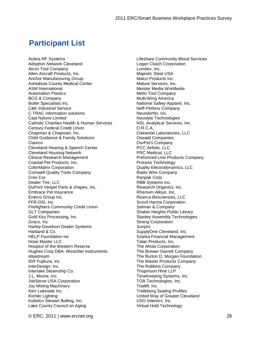### **Participant List**

Aclara RF Systems Adoption Network Cleveland Alcon Tool Company Allen Aircraft Products, Inc. Anchor Manufacturing Group Ashtabula County Medical Center ASM International Automation Plastics BCG & Company Boiler Specialists Inc. C&K Industrial Service C.TRAC information solutions Cast Nylons Limited Catholic Charities Health & Human Services Century Federal Credit Union Chapman & Chapman, Inc. Child Guidance & Family Solutions Clamco Cleveland Hearing & Speech Center Cleveland Housing Network Clinical Research Management Coastal Pet Products, Inc. ColorMatrix Corporation Cornwell Quality Tools Company Cres Cor Dealer Tire, LLC DuPont Vespel Parts & shapes, Inc. Embrace Pet Insurance Enerco Group Inc FFR-DSI, Inc. Firefighters Community Credit Union GLT Companies Gold Key Processing, Inc. Graco, Inc Harley-Davidson Dealer Systems Hartland & Co. HELP Foundation Inc Hose Master LLC Hospice of the Western Reserve Hughes Corp DBA: Weschler Instruments ideastream IER Fujikura, Inc InterDesign, Inc. Interlake Steamship Co. J.L. Moore, Inc. JobServe USA Corporation Joy Mining Machinery Kerr Lakeside Inc. Kichler Lighting Kobelco Stewart Bolling, Inc. Lake County Council on Aging

Lifeshare Community Blood Services Logan Clutch Corporation Lumitex, Inc. Majestic Steel USA Malco Products Inc Mature Services, Inc. Meister Media Worldwide Melin Tool Company Multi-Wing America National Safety Apparel, Inc. Neff-Perkins Company Neundorfer, Inc. Novolyte Technologies NSL Analytical Services, Inc. O.R.C.A, Oakwood Laboratories, LLC Oswald Companies OurPet's Company PCC Airfoils, LLC PRC Medical, LLC Preformed Line Products Company Process Technology Quality Electrodynamics, LLC Radix Wire Company Ranpak Corp. RBB Systems Inc. Research Organics, Inc. Rhenium Alloys, Inc. Ricerca Biosciences, LLC Scovil Hanna Corporation Selman & Company Shaker Heights Public Library Stanley Assembly Technologies Strang Corporation Sunpro SupplyOne Cleveland, Inc. Szarka Financial Management Talan Products, Inc. The Ahola Corporation The Brewer-Garrett Company The Burton D. Morgan Foundation The Master Products Company The Robbins Company Thopmson HIne LLP TimeKeeping Systems, Inc. TOA Technologies, Inc. Towlift, Inc Trelleborg Sealing Profiles United Way of Greater Cleveland USG Interiors, Inc. Virtual Hold Technology

© ERC, 2011 | www.ercnet.org 26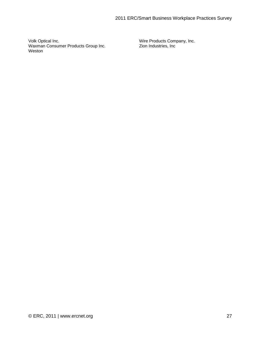Volk Optical Inc. Waxman Consumer Products Group Inc. Weston

Wire Products Company, Inc. Zion Industries, Inc